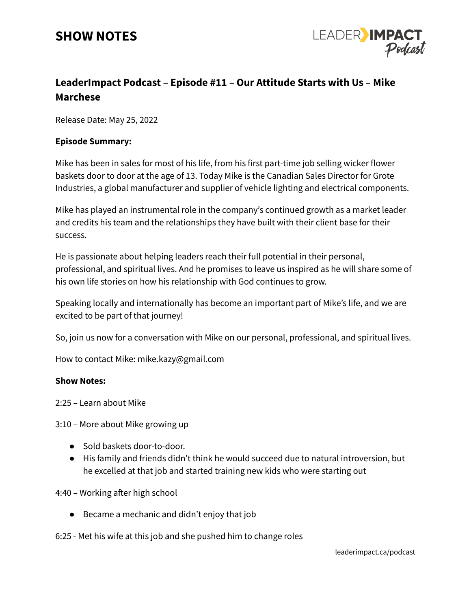## **SHOW NOTES**



### **LeaderImpact Podcast – Episode #11 – Our Attitude Starts with Us – Mike Marchese**

Release Date: May 25, 2022

#### **Episode Summary:**

Mike has been in sales for most of his life, from his first part-time job selling wicker flower baskets door to door at the age of 13. Today Mike is the Canadian Sales Director for Grote Industries, a global manufacturer and supplier of vehicle lighting and electrical components.

Mike has played an instrumental role in the company's continued growth as a market leader and credits his team and the relationships they have built with their client base for their success.

He is passionate about helping leaders reach their full potential in their personal, professional, and spiritual lives. And he promises to leave us inspired as he will share some of his own life stories on how his relationship with God continues to grow.

Speaking locally and internationally has become an important part of Mike's life, and we are excited to be part of that journey!

So, join us now for a conversation with Mike on our personal, professional, and spiritual lives.

How to contact Mike: mike.kazy@gmail.com

#### **Show Notes:**

2:25 – Learn about Mike

3:10 – More about Mike growing up

- Sold baskets door-to-door.
- His family and friends didn't think he would succeed due to natural introversion, but he excelled at that job and started training new kids who were starting out

4:40 – Working after high school

● Became a mechanic and didn't enjoy that job

6:25 - Met his wife at this job and she pushed him to change roles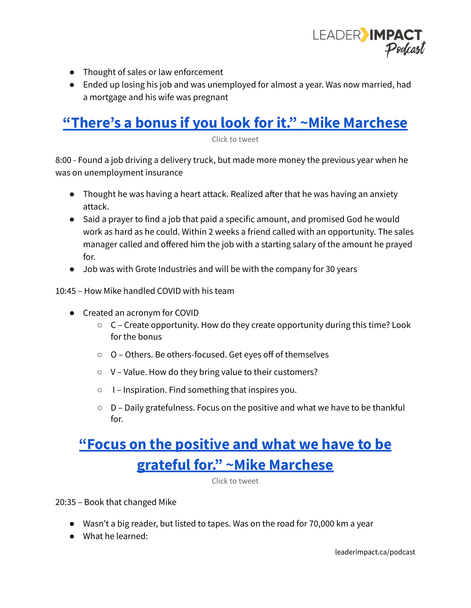

- Thought of sales or law enforcement
- Ended up losing his job and was unemployed for almost a year. Was now married, had a mortgage and his wife was pregnant

## **"There's a bonus if you look for it." ~Mike [Marchese](https://ctt.ac/KcLab)**

Click to tweet

8:00 - Found a job driving a delivery truck, but made more money the previous year when he was on unemployment insurance

- Thought he was having a heart attack. Realized after that he was having an anxiety attack.
- Said a prayer to find a job that paid a specific amount, and promised God he would work as hard as he could. Within 2 weeks a friend called with an opportunity. The sales manager called and offered him the job with a starting salary of the amount he prayed for.
- Job was with Grote Industries and will be with the company for 30 years

10:45 – How Mike handled COVID with his team

- Created an acronym for COVID
	- C Create opportunity. How do they create opportunity during this time? Look for the bonus
	- O Others. Be others-focused. Get eyes off of themselves
	- V Value. How do they bring value to their customers?
	- I Inspiration. Find something that inspires you.
	- D Daily gratefulness. Focus on the positive and what we have to be thankful for.

# **"Focus on the [positive](https://ctt.ac/Ra9db) and what we have to be grateful for." ~Mike [Marchese](https://ctt.ac/Ra9db)**

Click to tweet

20:35 – Book that changed Mike

- Wasn't a big reader, but listed to tapes. Was on the road for 70,000 km a year
- What he learned: